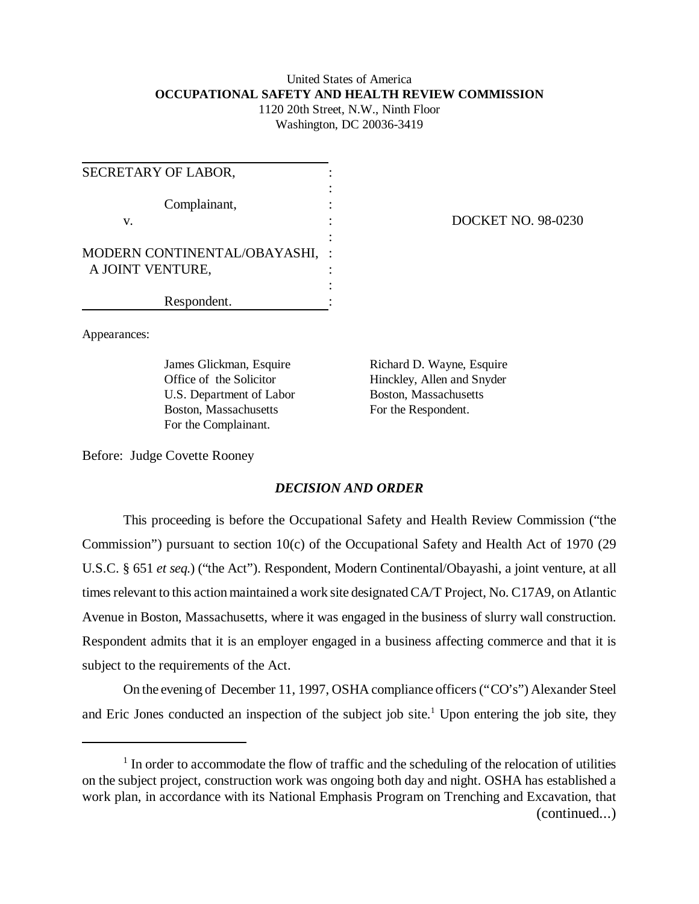# United States of America **OCCUPATIONAL SAFETY AND HEALTH REVIEW COMMISSION** 1120 20th Street, N.W., Ninth Floor

Washington, DC 20036-3419

| SECRETARY OF LABOR,          |  |
|------------------------------|--|
|                              |  |
| Complainant,                 |  |
| V.                           |  |
|                              |  |
| MODERN CONTINENTAL/OBAYASHI, |  |
| A JOINT VENTURE,             |  |
|                              |  |
| Respondent.                  |  |

DOCKET NO. 98-0230

Appearances:

U.S. Department of Labor Boston, Massachusetts Boston, Massachusetts For the Respondent. For the Complainant.

James Glickman, Esquire Richard D. Wayne, Esquire Office of the Solicitor Hinckley, Allen and Snyder

Before: Judge Covette Rooney

# *DECISION AND ORDER*

This proceeding is before the Occupational Safety and Health Review Commission ("the Commission") pursuant to section 10(c) of the Occupational Safety and Health Act of 1970 (29 U.S.C. § 651 *et seq.*) ("the Act"). Respondent, Modern Continental/Obayashi, a joint venture, at all times relevant to this action maintained a work site designated CA/T Project, No. C17A9, on Atlantic Avenue in Boston, Massachusetts, where it was engaged in the business of slurry wall construction. Respondent admits that it is an employer engaged in a business affecting commerce and that it is subject to the requirements of the Act.

On the evening of December 11, 1997, OSHA compliance officers ("CO's") Alexander Steel and Eric Jones conducted an inspection of the subject job site.<sup>1</sup> Upon entering the job site, they

<sup>&</sup>lt;sup>1</sup> In order to accommodate the flow of traffic and the scheduling of the relocation of utilities on the subject project, construction work was ongoing both day and night. OSHA has established a work plan, in accordance with its National Emphasis Program on Trenching and Excavation, that (continued...)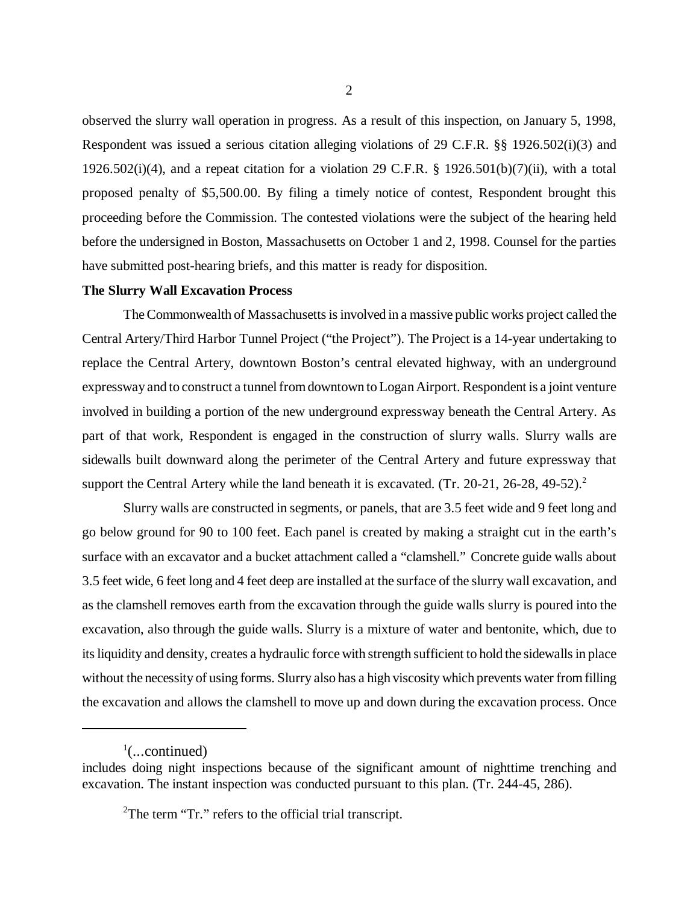observed the slurry wall operation in progress. As a result of this inspection, on January 5, 1998, Respondent was issued a serious citation alleging violations of 29 C.F.R. §§ 1926.502(i)(3) and 1926.502(i)(4), and a repeat citation for a violation 29 C.F.R. § 1926.501(b)(7)(ii), with a total proposed penalty of \$5,500.00. By filing a timely notice of contest, Respondent brought this proceeding before the Commission. The contested violations were the subject of the hearing held before the undersigned in Boston, Massachusetts on October 1 and 2, 1998. Counsel for the parties have submitted post-hearing briefs, and this matter is ready for disposition.

#### **The Slurry Wall Excavation Process**

The Commonwealth of Massachusetts is involved in a massive public works project called the Central Artery/Third Harbor Tunnel Project ("the Project"). The Project is a 14-year undertaking to replace the Central Artery, downtown Boston's central elevated highway, with an underground expressway and to construct a tunnel from downtown to Logan Airport. Respondent is a joint venture involved in building a portion of the new underground expressway beneath the Central Artery. As part of that work, Respondent is engaged in the construction of slurry walls. Slurry walls are sidewalls built downward along the perimeter of the Central Artery and future expressway that support the Central Artery while the land beneath it is excavated. (Tr. 20-21, 26-28, 49-52).<sup>2</sup>

Slurry walls are constructed in segments, or panels, that are 3.5 feet wide and 9 feet long and go below ground for 90 to 100 feet. Each panel is created by making a straight cut in the earth's surface with an excavator and a bucket attachment called a "clamshell." Concrete guide walls about 3.5 feet wide, 6 feet long and 4 feet deep are installed at the surface of the slurry wall excavation, and as the clamshell removes earth from the excavation through the guide walls slurry is poured into the excavation, also through the guide walls. Slurry is a mixture of water and bentonite, which, due to its liquidity and density, creates a hydraulic force with strength sufficient to hold the sidewalls in place without the necessity of using forms. Slurry also has a high viscosity which prevents water from filling the excavation and allows the clamshell to move up and down during the excavation process. Once

 $\frac{1}{2}$ (...continued)

includes doing night inspections because of the significant amount of nighttime trenching and excavation. The instant inspection was conducted pursuant to this plan. (Tr. 244-45, 286).

 ${}^{2}$ The term "Tr." refers to the official trial transcript.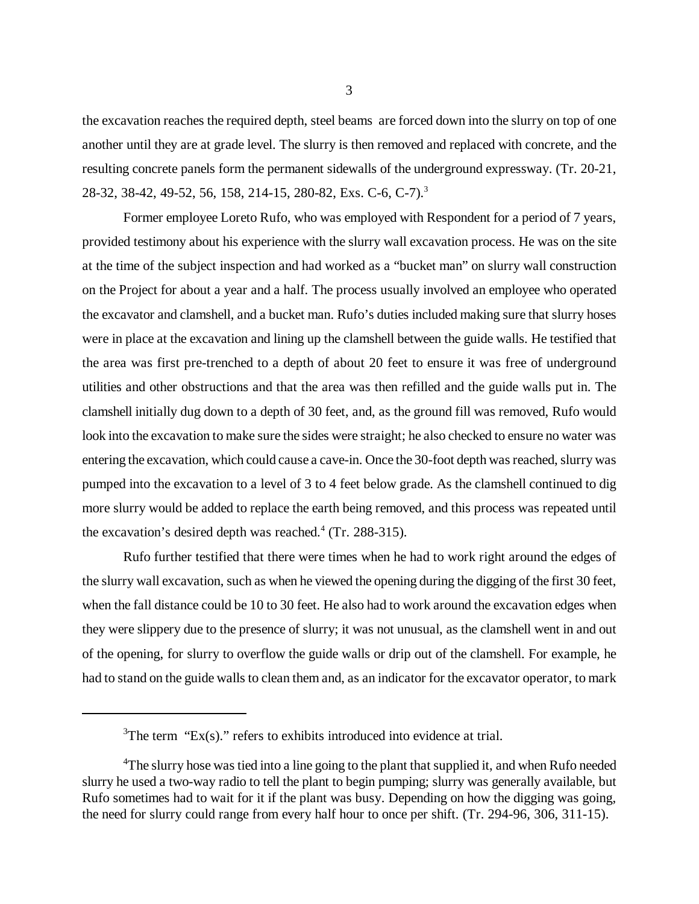the excavation reaches the required depth, steel beams are forced down into the slurry on top of one another until they are at grade level. The slurry is then removed and replaced with concrete, and the resulting concrete panels form the permanent sidewalls of the underground expressway. (Tr. 20-21, 28-32, 38-42, 49-52, 56, 158, 214-15, 280-82, Exs. C-6, C-7).<sup>3</sup>

Former employee Loreto Rufo, who was employed with Respondent for a period of 7 years, provided testimony about his experience with the slurry wall excavation process. He was on the site at the time of the subject inspection and had worked as a "bucket man" on slurry wall construction on the Project for about a year and a half. The process usually involved an employee who operated the excavator and clamshell, and a bucket man. Rufo's duties included making sure that slurry hoses were in place at the excavation and lining up the clamshell between the guide walls. He testified that the area was first pre-trenched to a depth of about 20 feet to ensure it was free of underground utilities and other obstructions and that the area was then refilled and the guide walls put in. The clamshell initially dug down to a depth of 30 feet, and, as the ground fill was removed, Rufo would look into the excavation to make sure the sides were straight; he also checked to ensure no water was entering the excavation, which could cause a cave-in. Once the 30-foot depth was reached, slurry was pumped into the excavation to a level of 3 to 4 feet below grade. As the clamshell continued to dig more slurry would be added to replace the earth being removed, and this process was repeated until the excavation's desired depth was reached. $4$  (Tr. 288-315).

Rufo further testified that there were times when he had to work right around the edges of the slurry wall excavation, such as when he viewed the opening during the digging of the first 30 feet, when the fall distance could be 10 to 30 feet. He also had to work around the excavation edges when they were slippery due to the presence of slurry; it was not unusual, as the clamshell went in and out of the opening, for slurry to overflow the guide walls or drip out of the clamshell. For example, he had to stand on the guide walls to clean them and, as an indicator for the excavator operator, to mark

 ${}^{3}$ The term "Ex(s)." refers to exhibits introduced into evidence at trial.

<sup>&</sup>lt;sup>4</sup>The slurry hose was tied into a line going to the plant that supplied it, and when Rufo needed slurry he used a two-way radio to tell the plant to begin pumping; slurry was generally available, but Rufo sometimes had to wait for it if the plant was busy. Depending on how the digging was going, the need for slurry could range from every half hour to once per shift. (Tr. 294-96, 306, 311-15).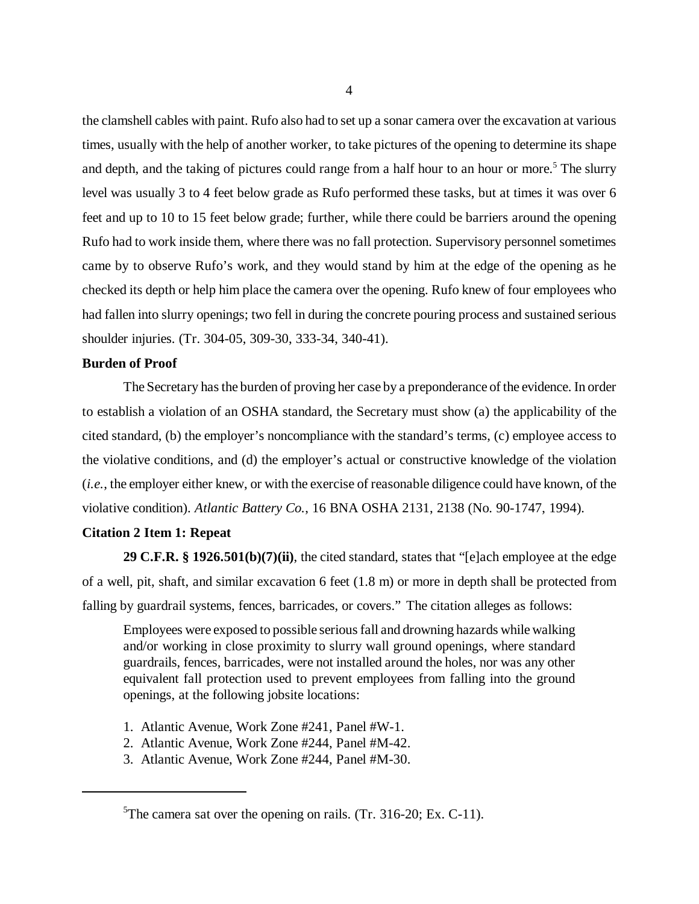the clamshell cables with paint. Rufo also had to set up a sonar camera over the excavation at various times, usually with the help of another worker, to take pictures of the opening to determine its shape and depth, and the taking of pictures could range from a half hour to an hour or more.<sup>5</sup> The slurry level was usually 3 to 4 feet below grade as Rufo performed these tasks, but at times it was over 6 feet and up to 10 to 15 feet below grade; further, while there could be barriers around the opening Rufo had to work inside them, where there was no fall protection. Supervisory personnel sometimes came by to observe Rufo's work, and they would stand by him at the edge of the opening as he checked its depth or help him place the camera over the opening. Rufo knew of four employees who had fallen into slurry openings; two fell in during the concrete pouring process and sustained serious shoulder injuries. (Tr. 304-05, 309-30, 333-34, 340-41).

## **Burden of Proof**

The Secretary has the burden of proving her case by a preponderance of the evidence. In order to establish a violation of an OSHA standard, the Secretary must show (a) the applicability of the cited standard, (b) the employer's noncompliance with the standard's terms, (c) employee access to the violative conditions, and (d) the employer's actual or constructive knowledge of the violation (*i.e.*, the employer either knew, or with the exercise of reasonable diligence could have known, of the violative condition). *Atlantic Battery Co.*, 16 BNA OSHA 2131, 2138 (No. 90-1747, 1994).

# **Citation 2 Item 1: Repeat**

**29 C.F.R. § 1926.501(b)(7)(ii)**, the cited standard, states that "[e]ach employee at the edge of a well, pit, shaft, and similar excavation 6 feet (1.8 m) or more in depth shall be protected from falling by guardrail systems, fences, barricades, or covers." The citation alleges as follows:

Employees were exposed to possible serious fall and drowning hazards while walking and/or working in close proximity to slurry wall ground openings, where standard guardrails, fences, barricades, were not installed around the holes, nor was any other equivalent fall protection used to prevent employees from falling into the ground openings, at the following jobsite locations:

- 1. Atlantic Avenue, Work Zone #241, Panel #W-1.
- 2. Atlantic Avenue, Work Zone #244, Panel #M-42.
- 3. Atlantic Avenue, Work Zone #244, Panel #M-30.

<sup>5</sup>The camera sat over the opening on rails. (Tr. 316-20; Ex. C-11).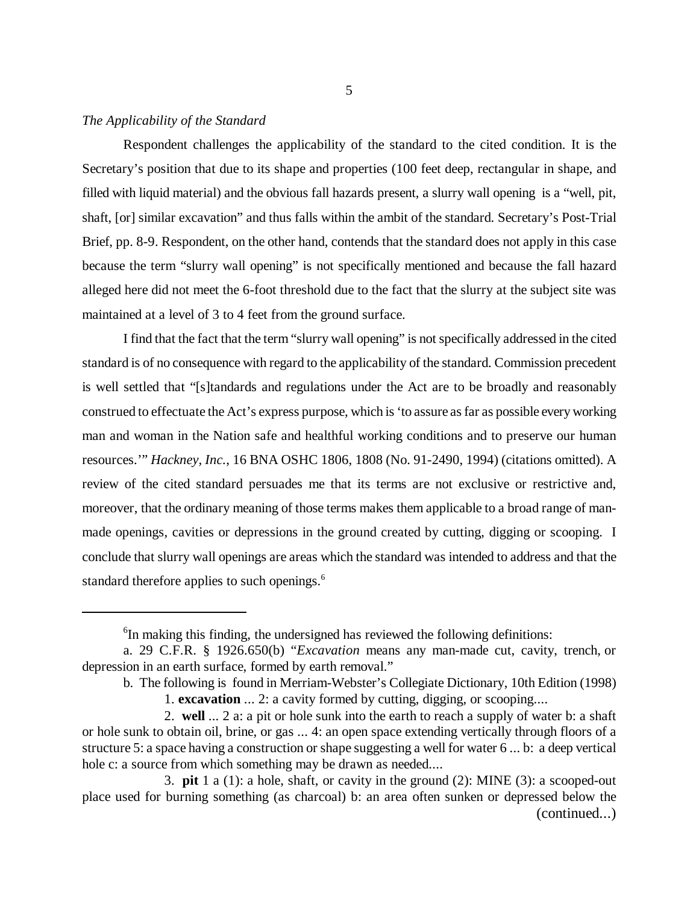## *The Applicability of the Standard*

Respondent challenges the applicability of the standard to the cited condition. It is the Secretary's position that due to its shape and properties (100 feet deep, rectangular in shape, and filled with liquid material) and the obvious fall hazards present, a slurry wall opening is a "well, pit, shaft, [or] similar excavation" and thus falls within the ambit of the standard. Secretary's Post-Trial Brief, pp. 8-9. Respondent, on the other hand, contends that the standard does not apply in this case because the term "slurry wall opening" is not specifically mentioned and because the fall hazard alleged here did not meet the 6-foot threshold due to the fact that the slurry at the subject site was maintained at a level of 3 to 4 feet from the ground surface.

I find that the fact that the term "slurry wall opening" is not specifically addressed in the cited standard is of no consequence with regard to the applicability of the standard. Commission precedent is well settled that "[s]tandards and regulations under the Act are to be broadly and reasonably construed to effectuate the Act's express purpose, which is 'to assure as far as possible every working man and woman in the Nation safe and healthful working conditions and to preserve our human resources.'" *Hackney, Inc.*, 16 BNA OSHC 1806, 1808 (No. 91-2490, 1994) (citations omitted). A review of the cited standard persuades me that its terms are not exclusive or restrictive and, moreover, that the ordinary meaning of those terms makes them applicable to a broad range of manmade openings, cavities or depressions in the ground created by cutting, digging or scooping. I conclude that slurry wall openings are areas which the standard was intended to address and that the standard therefore applies to such openings.<sup>6</sup>

<sup>&</sup>lt;sup>6</sup>In making this finding, the undersigned has reviewed the following definitions:

a. 29 C.F.R. § 1926.650(b) "*Excavation* means any man-made cut, cavity, trench, or depression in an earth surface, formed by earth removal."

b. The following is found in Merriam-Webster's Collegiate Dictionary, 10th Edition (1998)

<sup>1.</sup> **excavation** ... 2: a cavity formed by cutting, digging, or scooping....

<sup>2.</sup> **well** ... 2 a: a pit or hole sunk into the earth to reach a supply of water b: a shaft or hole sunk to obtain oil, brine, or gas ... 4: an open space extending vertically through floors of a structure 5: a space having a construction or shape suggesting a well for water 6 ... b: a deep vertical hole c: a source from which something may be drawn as needed....

<sup>3.</sup> **pit** 1 a (1): a hole, shaft, or cavity in the ground (2): MINE (3): a scooped-out place used for burning something (as charcoal) b: an area often sunken or depressed below the (continued...)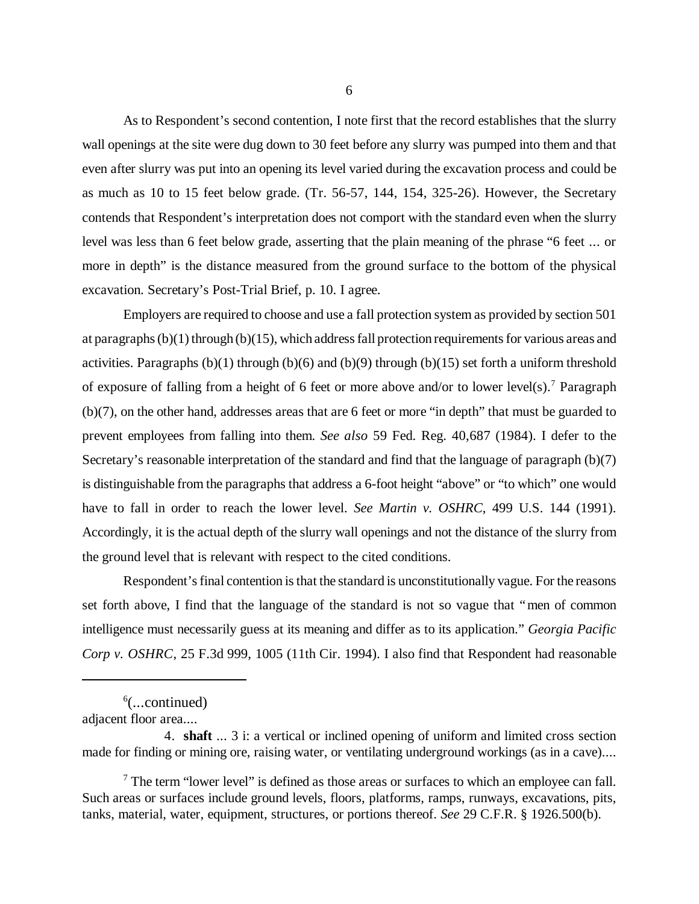As to Respondent's second contention, I note first that the record establishes that the slurry wall openings at the site were dug down to 30 feet before any slurry was pumped into them and that even after slurry was put into an opening its level varied during the excavation process and could be as much as 10 to 15 feet below grade. (Tr. 56-57, 144, 154, 325-26). However, the Secretary contends that Respondent's interpretation does not comport with the standard even when the slurry level was less than 6 feet below grade, asserting that the plain meaning of the phrase "6 feet ... or more in depth" is the distance measured from the ground surface to the bottom of the physical excavation. Secretary's Post-Trial Brief, p. 10. I agree.

Employers are required to choose and use a fall protection system as provided by section 501 at paragraphs (b)(1) through (b)(15), which address fall protection requirements for various areas and activities. Paragraphs  $(b)(1)$  through  $(b)(6)$  and  $(b)(9)$  through  $(b)(15)$  set forth a uniform threshold of exposure of falling from a height of 6 feet or more above and/or to lower level(s).<sup>7</sup> Paragraph (b)(7), on the other hand, addresses areas that are 6 feet or more "in depth" that must be guarded to prevent employees from falling into them. *See also* 59 Fed. Reg. 40,687 (1984). I defer to the Secretary's reasonable interpretation of the standard and find that the language of paragraph (b)(7) is distinguishable from the paragraphs that address a 6-foot height "above" or "to which" one would have to fall in order to reach the lower level. *See Martin v. OSHRC*, 499 U.S. 144 (1991). Accordingly, it is the actual depth of the slurry wall openings and not the distance of the slurry from the ground level that is relevant with respect to the cited conditions.

Respondent's final contention is that the standard is unconstitutionally vague. For the reasons set forth above, I find that the language of the standard is not so vague that "men of common intelligence must necessarily guess at its meaning and differ as to its application." *Georgia Pacific Corp v. OSHRC*, 25 F.3d 999, 1005 (11th Cir. 1994). I also find that Respondent had reasonable

6 (...continued)

adjacent floor area....

<sup>4.</sup> **shaft** ... 3 i: a vertical or inclined opening of uniform and limited cross section made for finding or mining ore, raising water, or ventilating underground workings (as in a cave)....

 $<sup>7</sup>$  The term "lower level" is defined as those areas or surfaces to which an employee can fall.</sup> Such areas or surfaces include ground levels, floors, platforms, ramps, runways, excavations, pits, tanks, material, water, equipment, structures, or portions thereof. *See* 29 C.F.R. § 1926.500(b).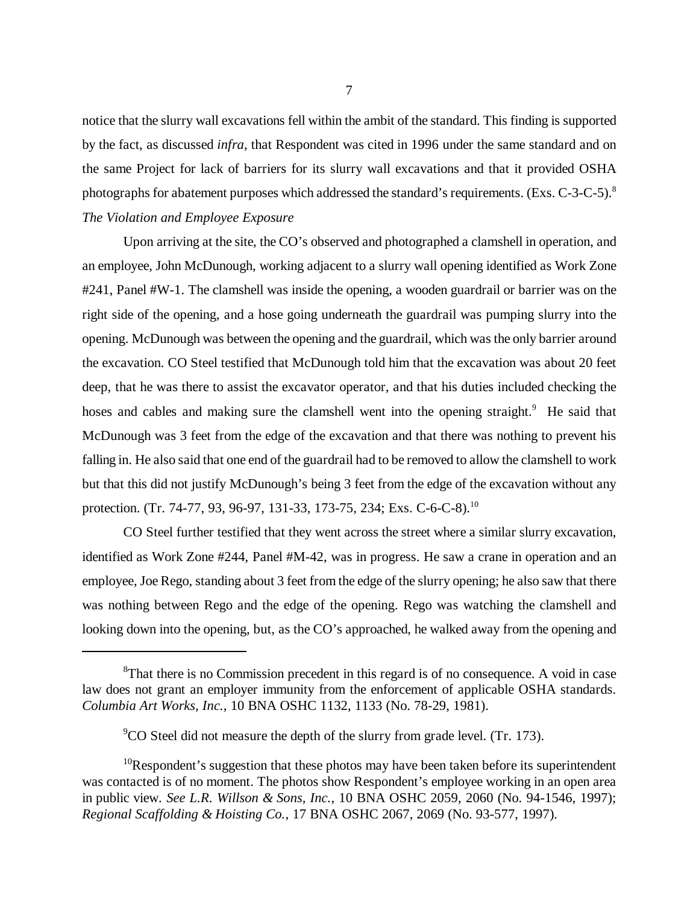notice that the slurry wall excavations fell within the ambit of the standard. This finding is supported by the fact, as discussed *infra*, that Respondent was cited in 1996 under the same standard and on the same Project for lack of barriers for its slurry wall excavations and that it provided OSHA photographs for abatement purposes which addressed the standard's requirements. (Exs. C-3-C-5).<sup>8</sup> *The Violation and Employee Exposure*

Upon arriving at the site, the CO's observed and photographed a clamshell in operation, and an employee, John McDunough, working adjacent to a slurry wall opening identified as Work Zone #241, Panel #W-1. The clamshell was inside the opening, a wooden guardrail or barrier was on the right side of the opening, and a hose going underneath the guardrail was pumping slurry into the opening. McDunough was between the opening and the guardrail, which was the only barrier around the excavation. CO Steel testified that McDunough told him that the excavation was about 20 feet deep, that he was there to assist the excavator operator, and that his duties included checking the hoses and cables and making sure the clamshell went into the opening straight.<sup>9</sup> He said that McDunough was 3 feet from the edge of the excavation and that there was nothing to prevent his falling in. He also said that one end of the guardrail had to be removed to allow the clamshell to work but that this did not justify McDunough's being 3 feet from the edge of the excavation without any protection. (Tr. 74-77, 93, 96-97, 131-33, 173-75, 234; Exs. C-6-C-8).<sup>10</sup>

CO Steel further testified that they went across the street where a similar slurry excavation, identified as Work Zone #244, Panel #M-42, was in progress. He saw a crane in operation and an employee, Joe Rego, standing about 3 feet from the edge of the slurry opening; he also saw that there was nothing between Rego and the edge of the opening. Rego was watching the clamshell and looking down into the opening, but, as the CO's approached, he walked away from the opening and

<sup>&</sup>lt;sup>8</sup>That there is no Commission precedent in this regard is of no consequence. A void in case law does not grant an employer immunity from the enforcement of applicable OSHA standards. *Columbia Art Works, Inc.*, 10 BNA OSHC 1132, 1133 (No. 78-29, 1981).

 $\rm ^{9}CO$  Steel did not measure the depth of the slurry from grade level. (Tr. 173).

 $10$ Respondent's suggestion that these photos may have been taken before its superintendent was contacted is of no moment. The photos show Respondent's employee working in an open area in public view. *See L.R. Willson & Sons, Inc.*, 10 BNA OSHC 2059, 2060 (No. 94-1546, 1997); *Regional Scaffolding & Hoisting Co.*, 17 BNA OSHC 2067, 2069 (No. 93-577, 1997).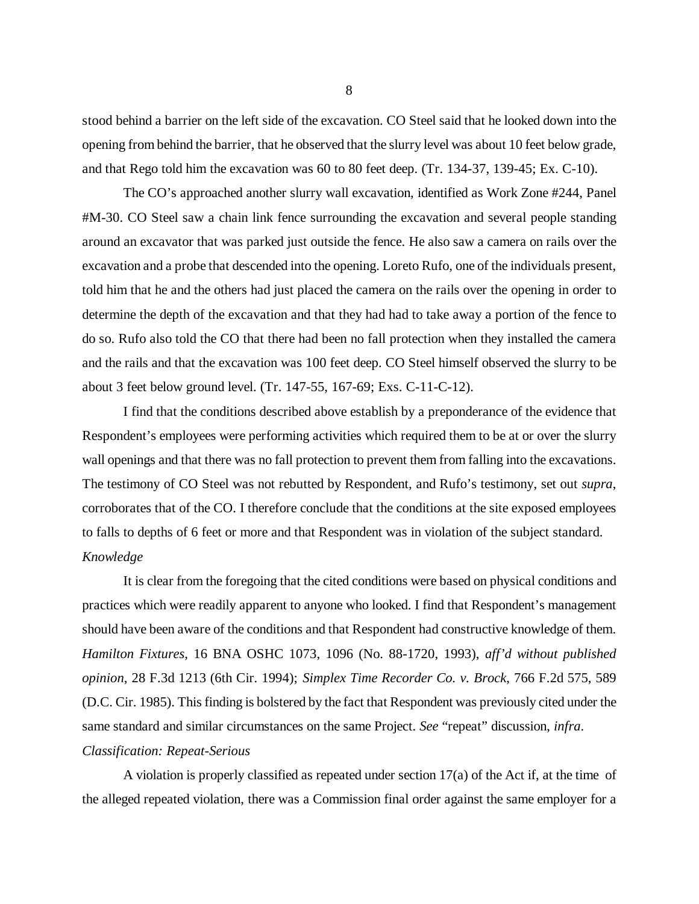stood behind a barrier on the left side of the excavation. CO Steel said that he looked down into the opening from behind the barrier, that he observed that the slurry level was about 10 feet below grade, and that Rego told him the excavation was 60 to 80 feet deep. (Tr. 134-37, 139-45; Ex. C-10).

The CO's approached another slurry wall excavation, identified as Work Zone #244, Panel #M-30. CO Steel saw a chain link fence surrounding the excavation and several people standing around an excavator that was parked just outside the fence. He also saw a camera on rails over the excavation and a probe that descended into the opening. Loreto Rufo, one of the individuals present, told him that he and the others had just placed the camera on the rails over the opening in order to determine the depth of the excavation and that they had had to take away a portion of the fence to do so. Rufo also told the CO that there had been no fall protection when they installed the camera and the rails and that the excavation was 100 feet deep. CO Steel himself observed the slurry to be about 3 feet below ground level. (Tr. 147-55, 167-69; Exs. C-11-C-12).

I find that the conditions described above establish by a preponderance of the evidence that Respondent's employees were performing activities which required them to be at or over the slurry wall openings and that there was no fall protection to prevent them from falling into the excavations. The testimony of CO Steel was not rebutted by Respondent, and Rufo's testimony, set out *supra*, corroborates that of the CO. I therefore conclude that the conditions at the site exposed employees to falls to depths of 6 feet or more and that Respondent was in violation of the subject standard. *Knowledge*

It is clear from the foregoing that the cited conditions were based on physical conditions and practices which were readily apparent to anyone who looked. I find that Respondent's management should have been aware of the conditions and that Respondent had constructive knowledge of them. *Hamilton Fixtures*, 16 BNA OSHC 1073, 1096 (No. 88-1720, 1993), *aff'd without published opinion*, 28 F.3d 1213 (6th Cir. 1994); *Simplex Time Recorder Co. v. Brock*, 766 F.2d 575, 589 (D.C. Cir. 1985). This finding is bolstered by the fact that Respondent was previously cited under the same standard and similar circumstances on the same Project. *See* "repeat" discussion, *infra*. *Classification: Repeat-Serious*

A violation is properly classified as repeated under section 17(a) of the Act if, at the time of the alleged repeated violation, there was a Commission final order against the same employer for a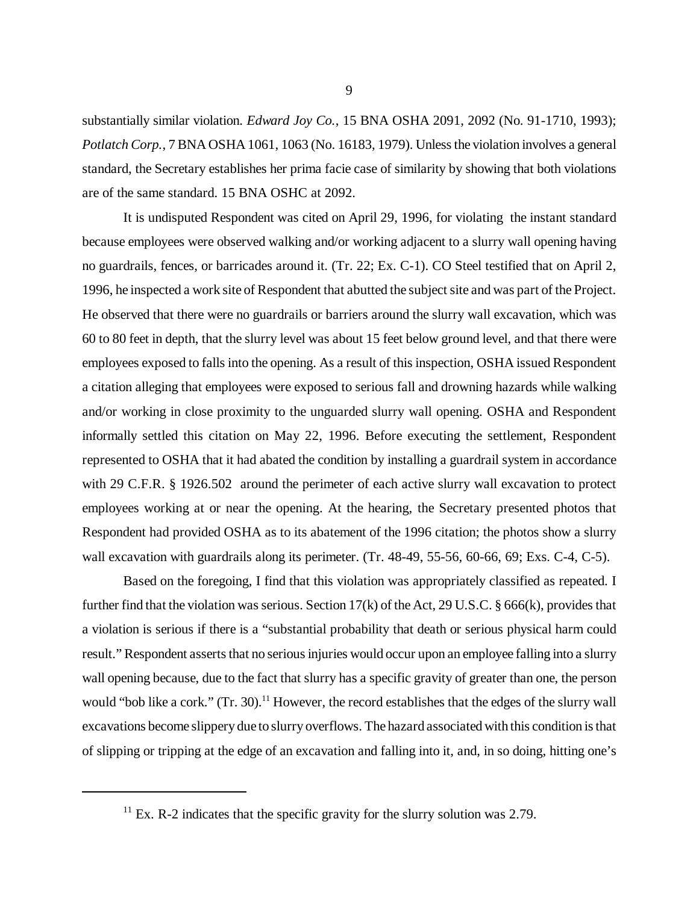substantially similar violation. *Edward Joy Co.*, 15 BNA OSHA 2091, 2092 (No. 91-1710, 1993); *Potlatch Corp.*, 7 BNA OSHA 1061, 1063 (No. 16183, 1979). Unless the violation involves a general standard, the Secretary establishes her prima facie case of similarity by showing that both violations are of the same standard. 15 BNA OSHC at 2092.

It is undisputed Respondent was cited on April 29, 1996, for violating the instant standard because employees were observed walking and/or working adjacent to a slurry wall opening having no guardrails, fences, or barricades around it. (Tr. 22; Ex. C-1). CO Steel testified that on April 2, 1996, he inspected a work site of Respondent that abutted the subject site and was part of the Project. He observed that there were no guardrails or barriers around the slurry wall excavation, which was 60 to 80 feet in depth, that the slurry level was about 15 feet below ground level, and that there were employees exposed to falls into the opening. As a result of this inspection, OSHA issued Respondent a citation alleging that employees were exposed to serious fall and drowning hazards while walking and/or working in close proximity to the unguarded slurry wall opening. OSHA and Respondent informally settled this citation on May 22, 1996. Before executing the settlement, Respondent represented to OSHA that it had abated the condition by installing a guardrail system in accordance with 29 C.F.R. § 1926.502 around the perimeter of each active slurry wall excavation to protect employees working at or near the opening. At the hearing, the Secretary presented photos that Respondent had provided OSHA as to its abatement of the 1996 citation; the photos show a slurry wall excavation with guardrails along its perimeter. (Tr. 48-49, 55-56, 60-66, 69; Exs. C-4, C-5).

Based on the foregoing, I find that this violation was appropriately classified as repeated. I further find that the violation was serious. Section 17(k) of the Act, 29 U.S.C. § 666(k), provides that a violation is serious if there is a "substantial probability that death or serious physical harm could result." Respondent asserts that no serious injuries would occur upon an employee falling into a slurry wall opening because, due to the fact that slurry has a specific gravity of greater than one, the person would "bob like a cork." (Tr. 30).<sup>11</sup> However, the record establishes that the edges of the slurry wall excavations become slippery due to slurry overflows. The hazard associated with this condition is that of slipping or tripping at the edge of an excavation and falling into it, and, in so doing, hitting one's

<sup>&</sup>lt;sup>11</sup> Ex. R-2 indicates that the specific gravity for the slurry solution was 2.79.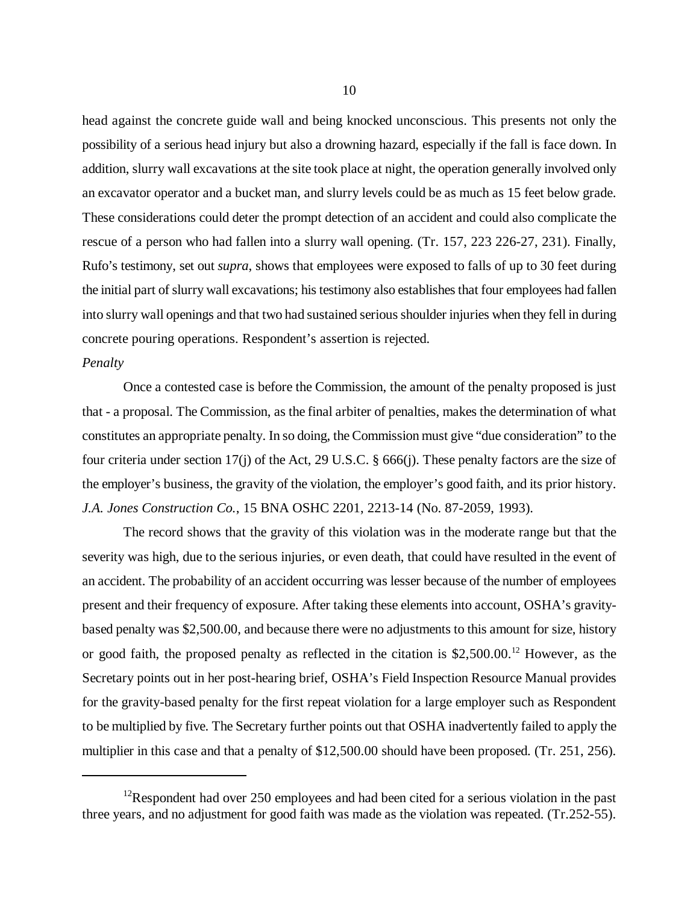head against the concrete guide wall and being knocked unconscious. This presents not only the possibility of a serious head injury but also a drowning hazard, especially if the fall is face down. In addition, slurry wall excavations at the site took place at night, the operation generally involved only an excavator operator and a bucket man, and slurry levels could be as much as 15 feet below grade. These considerations could deter the prompt detection of an accident and could also complicate the rescue of a person who had fallen into a slurry wall opening. (Tr. 157, 223 226-27, 231). Finally, Rufo's testimony, set out *supra*, shows that employees were exposed to falls of up to 30 feet during the initial part of slurry wall excavations; his testimony also establishes that four employees had fallen into slurry wall openings and that two had sustained serious shoulder injuries when they fell in during concrete pouring operations. Respondent's assertion is rejected.

#### *Penalty*

Once a contested case is before the Commission, the amount of the penalty proposed is just that - a proposal. The Commission, as the final arbiter of penalties, makes the determination of what constitutes an appropriate penalty. In so doing, the Commission must give "due consideration" to the four criteria under section 17(j) of the Act, 29 U.S.C. § 666(j). These penalty factors are the size of the employer's business, the gravity of the violation, the employer's good faith, and its prior history. *J.A. Jones Construction Co.*, 15 BNA OSHC 2201, 2213-14 (No. 87-2059, 1993).

The record shows that the gravity of this violation was in the moderate range but that the severity was high, due to the serious injuries, or even death, that could have resulted in the event of an accident. The probability of an accident occurring was lesser because of the number of employees present and their frequency of exposure. After taking these elements into account, OSHA's gravitybased penalty was \$2,500.00, and because there were no adjustments to this amount for size, history or good faith, the proposed penalty as reflected in the citation is \$2,500.00.<sup>12</sup> However, as the Secretary points out in her post-hearing brief, OSHA's Field Inspection Resource Manual provides for the gravity-based penalty for the first repeat violation for a large employer such as Respondent to be multiplied by five. The Secretary further points out that OSHA inadvertently failed to apply the multiplier in this case and that a penalty of \$12,500.00 should have been proposed. (Tr. 251, 256).

<sup>&</sup>lt;sup>12</sup>Respondent had over 250 employees and had been cited for a serious violation in the past three years, and no adjustment for good faith was made as the violation was repeated. (Tr.252-55).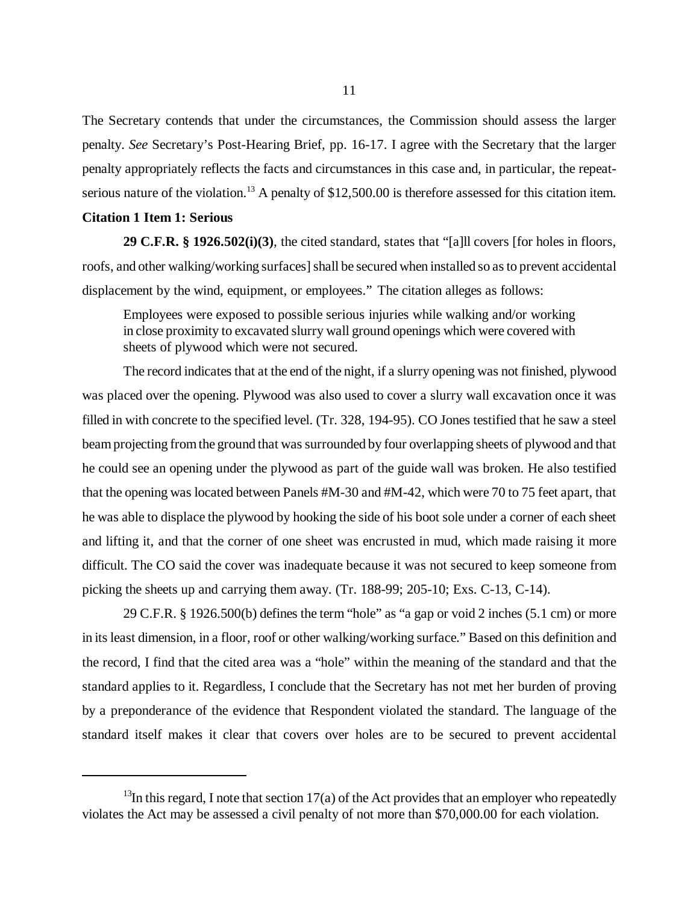The Secretary contends that under the circumstances, the Commission should assess the larger penalty. *See* Secretary's Post-Hearing Brief, pp. 16-17. I agree with the Secretary that the larger penalty appropriately reflects the facts and circumstances in this case and, in particular, the repeatserious nature of the violation.<sup>13</sup> A penalty of \$12,500.00 is therefore assessed for this citation item.

#### **Citation 1 Item 1: Serious**

**29 C.F.R. § 1926.502(i)(3)**, the cited standard, states that "[a]ll covers [for holes in floors, roofs, and other walking/working surfaces] shall be secured when installed so as to prevent accidental displacement by the wind, equipment, or employees." The citation alleges as follows:

Employees were exposed to possible serious injuries while walking and/or working in close proximity to excavated slurry wall ground openings which were covered with sheets of plywood which were not secured.

The record indicates that at the end of the night, if a slurry opening was not finished, plywood was placed over the opening. Plywood was also used to cover a slurry wall excavation once it was filled in with concrete to the specified level. (Tr. 328, 194-95). CO Jones testified that he saw a steel beam projecting from the ground that was surrounded by four overlapping sheets of plywood and that he could see an opening under the plywood as part of the guide wall was broken. He also testified that the opening was located between Panels #M-30 and #M-42, which were 70 to 75 feet apart, that he was able to displace the plywood by hooking the side of his boot sole under a corner of each sheet and lifting it, and that the corner of one sheet was encrusted in mud, which made raising it more difficult. The CO said the cover was inadequate because it was not secured to keep someone from picking the sheets up and carrying them away. (Tr. 188-99; 205-10; Exs. C-13, C-14).

29 C.F.R. § 1926.500(b) defines the term "hole" as "a gap or void 2 inches (5.1 cm) or more in its least dimension, in a floor, roof or other walking/working surface." Based on this definition and the record, I find that the cited area was a "hole" within the meaning of the standard and that the standard applies to it. Regardless, I conclude that the Secretary has not met her burden of proving by a preponderance of the evidence that Respondent violated the standard. The language of the standard itself makes it clear that covers over holes are to be secured to prevent accidental

<sup>&</sup>lt;sup>13</sup>In this regard, I note that section 17(a) of the Act provides that an employer who repeatedly violates the Act may be assessed a civil penalty of not more than \$70,000.00 for each violation.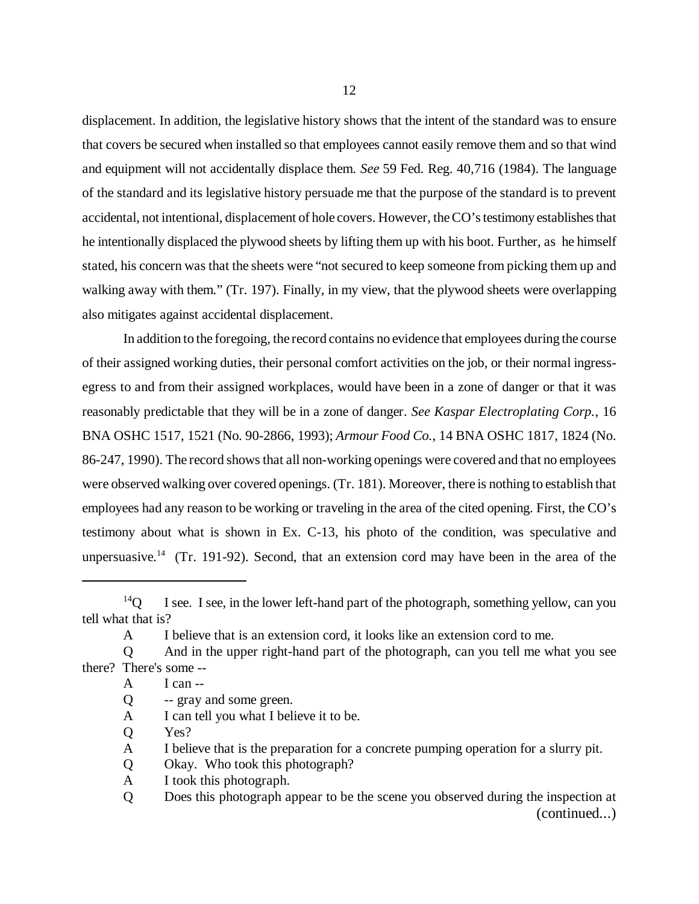displacement. In addition, the legislative history shows that the intent of the standard was to ensure that covers be secured when installed so that employees cannot easily remove them and so that wind and equipment will not accidentally displace them. *See* 59 Fed. Reg. 40,716 (1984). The language of the standard and its legislative history persuade me that the purpose of the standard is to prevent accidental, not intentional, displacement of hole covers. However, the CO's testimony establishes that he intentionally displaced the plywood sheets by lifting them up with his boot. Further, as he himself stated, his concern was that the sheets were "not secured to keep someone from picking them up and walking away with them." (Tr. 197). Finally, in my view, that the plywood sheets were overlapping also mitigates against accidental displacement.

In addition to the foregoing, the record contains no evidence that employees during the course of their assigned working duties, their personal comfort activities on the job, or their normal ingressegress to and from their assigned workplaces, would have been in a zone of danger or that it was reasonably predictable that they will be in a zone of danger. *See Kaspar Electroplating Corp.*, 16 BNA OSHC 1517, 1521 (No. 90-2866, 1993); *Armour Food Co.*, 14 BNA OSHC 1817, 1824 (No. 86-247, 1990). The record shows that all non-working openings were covered and that no employees were observed walking over covered openings. (Tr. 181). Moreover, there is nothing to establish that employees had any reason to be working or traveling in the area of the cited opening. First, the CO's testimony about what is shown in Ex. C-13, his photo of the condition, was speculative and unpersuasive.<sup>14</sup> (Tr. 191-92). Second, that an extension cord may have been in the area of the

- Q -- gray and some green.
- A I can tell you what I believe it to be.
- Q Yes?
- A I believe that is the preparation for a concrete pumping operation for a slurry pit.
- Q Okay. Who took this photograph?
- A I took this photograph.
- Q Does this photograph appear to be the scene you observed during the inspection at (continued...)

 $14Q$  I see. I see, in the lower left-hand part of the photograph, something yellow, can you tell what that is?

A I believe that is an extension cord, it looks like an extension cord to me.

Q And in the upper right-hand part of the photograph, can you tell me what you see there? There's some --

A I can --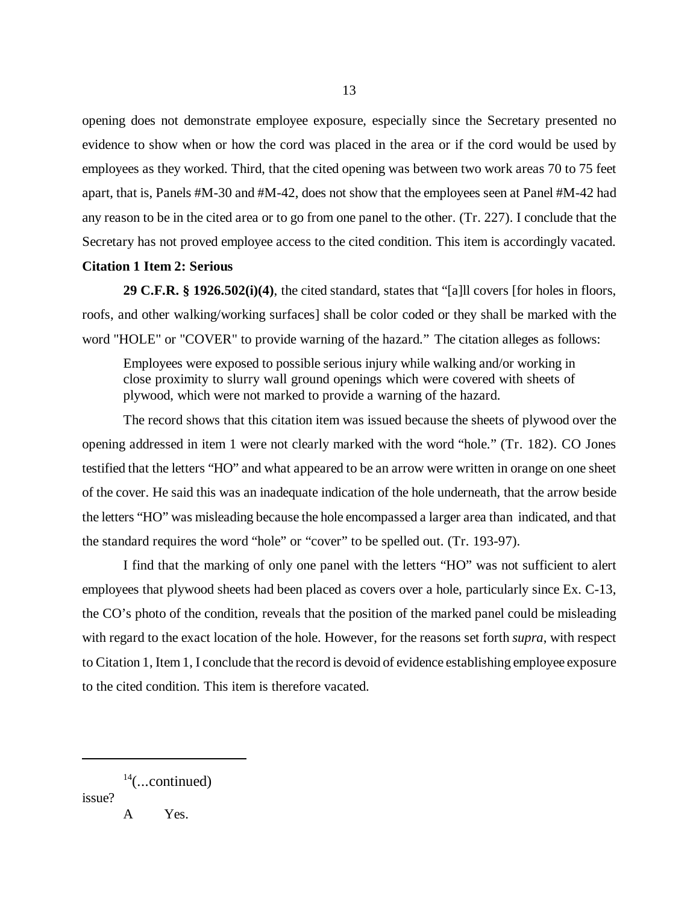opening does not demonstrate employee exposure, especially since the Secretary presented no evidence to show when or how the cord was placed in the area or if the cord would be used by employees as they worked. Third, that the cited opening was between two work areas 70 to 75 feet apart, that is, Panels #M-30 and #M-42, does not show that the employees seen at Panel #M-42 had any reason to be in the cited area or to go from one panel to the other. (Tr. 227). I conclude that the Secretary has not proved employee access to the cited condition. This item is accordingly vacated.

# **Citation 1 Item 2: Serious**

**29 C.F.R. § 1926.502(i)(4)**, the cited standard, states that "[a]ll covers [for holes in floors, roofs, and other walking/working surfaces] shall be color coded or they shall be marked with the word "HOLE" or "COVER" to provide warning of the hazard." The citation alleges as follows:

Employees were exposed to possible serious injury while walking and/or working in close proximity to slurry wall ground openings which were covered with sheets of plywood, which were not marked to provide a warning of the hazard.

The record shows that this citation item was issued because the sheets of plywood over the opening addressed in item 1 were not clearly marked with the word "hole." (Tr. 182). CO Jones testified that the letters "HO" and what appeared to be an arrow were written in orange on one sheet of the cover. He said this was an inadequate indication of the hole underneath, that the arrow beside the letters "HO" was misleading because the hole encompassed a larger area than indicated, and that the standard requires the word "hole" or "cover" to be spelled out. (Tr. 193-97).

I find that the marking of only one panel with the letters "HO" was not sufficient to alert employees that plywood sheets had been placed as covers over a hole, particularly since Ex. C-13, the CO's photo of the condition, reveals that the position of the marked panel could be misleading with regard to the exact location of the hole. However, for the reasons set forth *supra*, with respect to Citation 1, Item 1, I conclude that the record is devoid of evidence establishing employee exposure to the cited condition. This item is therefore vacated.

issue?

A Yes.

 $14$ (...continued)